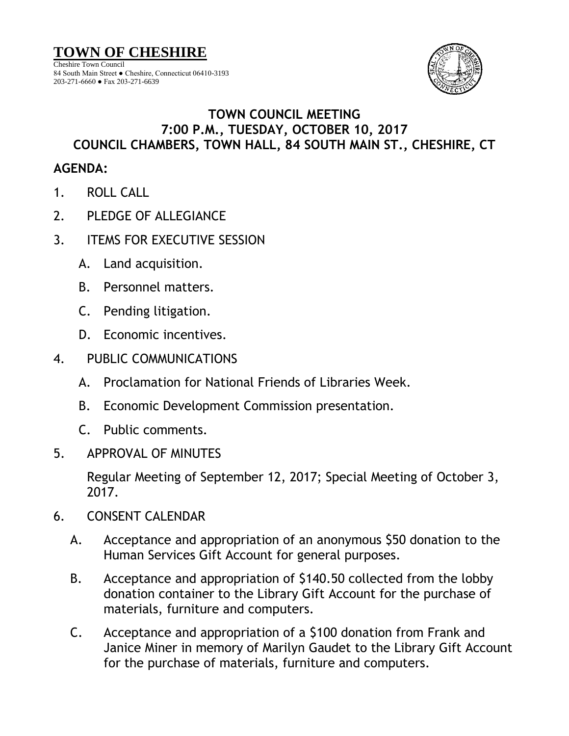

## **TOWN COUNCIL MEETING 7:00 P.M., TUESDAY, OCTOBER 10, 2017 COUNCIL CHAMBERS, TOWN HALL, 84 SOUTH MAIN ST., CHESHIRE, CT**

## **AGENDA:**

- 1. ROLL CALL
- 2. PLEDGE OF ALLEGIANCE
- 3. ITEMS FOR EXECUTIVE SESSION
	- A. Land acquisition.
	- B. Personnel matters.
	- C. Pending litigation.
	- D. Economic incentives.
- 4. PUBLIC COMMUNICATIONS
	- A. Proclamation for National Friends of Libraries Week.
	- B. Economic Development Commission presentation.
	- C. Public comments.
- 5. APPROVAL OF MINUTES

Regular Meeting of September 12, 2017; Special Meeting of October 3, 2017.

- 6. CONSENT CALENDAR
	- A. Acceptance and appropriation of an anonymous \$50 donation to the Human Services Gift Account for general purposes.
	- B. Acceptance and appropriation of \$140.50 collected from the lobby donation container to the Library Gift Account for the purchase of materials, furniture and computers.
	- C. Acceptance and appropriation of a \$100 donation from Frank and Janice Miner in memory of Marilyn Gaudet to the Library Gift Account for the purchase of materials, furniture and computers.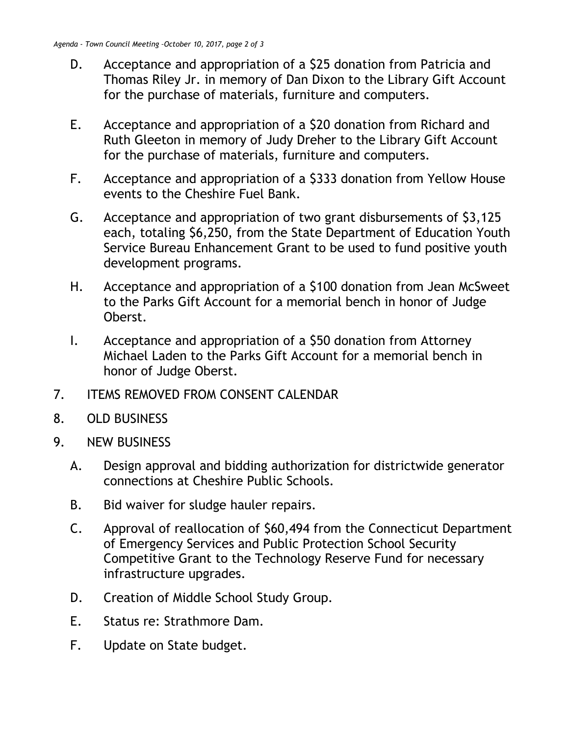- D. Acceptance and appropriation of a \$25 donation from Patricia and Thomas Riley Jr. in memory of Dan Dixon to the Library Gift Account for the purchase of materials, furniture and computers.
- E. Acceptance and appropriation of a \$20 donation from Richard and Ruth Gleeton in memory of Judy Dreher to the Library Gift Account for the purchase of materials, furniture and computers.
- F. Acceptance and appropriation of a \$333 donation from Yellow House events to the Cheshire Fuel Bank.
- G. Acceptance and appropriation of two grant disbursements of \$3,125 each, totaling \$6,250, from the State Department of Education Youth Service Bureau Enhancement Grant to be used to fund positive youth development programs.
- H. Acceptance and appropriation of a \$100 donation from Jean McSweet to the Parks Gift Account for a memorial bench in honor of Judge Oberst.
- I. Acceptance and appropriation of a \$50 donation from Attorney Michael Laden to the Parks Gift Account for a memorial bench in honor of Judge Oberst.
- 7. ITEMS REMOVED FROM CONSENT CALENDAR
- 8. OLD BUSINESS
- 9. NEW BUSINESS
	- A. Design approval and bidding authorization for districtwide generator connections at Cheshire Public Schools.
	- B. Bid waiver for sludge hauler repairs.
	- C. Approval of reallocation of \$60,494 from the Connecticut Department of Emergency Services and Public Protection School Security Competitive Grant to the Technology Reserve Fund for necessary infrastructure upgrades.
	- D. Creation of Middle School Study Group.
	- E. Status re: Strathmore Dam.
	- F. Update on State budget.